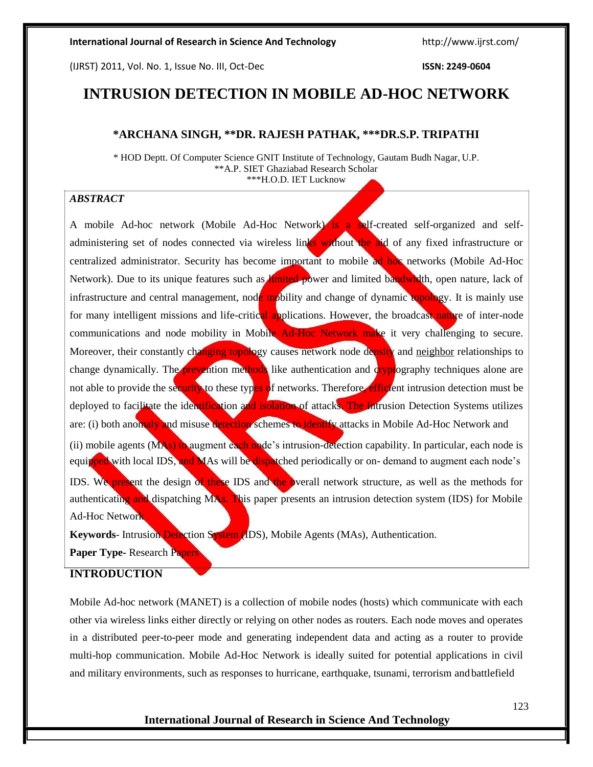(IJRST) 2011, Vol. No. 1, Issue No. III, Oct-Dec **ISSN: 2249-0604**

# **INTRUSION DETECTION IN MOBILE AD-HOC NETWORK**

### **\*ARCHANA SINGH, \*\*DR. RAJESH PATHAK, \*\*\*DR.S.P. TRIPATHI**

\* HOD Deptt. Of Computer Science GNIT Institute of Technology, Gautam Budh Nagar, U.P. \*\*A.P. SIET Ghaziabad Research Scholar \*\*\*H.O.D. IET Lucknow

# *ABSTRACT*

A mobile Ad-hoc network (Mobile Ad-Hoc Network) is a self-created self-organized and selfadministering set of nodes connected via wireless links without the aid of any fixed infrastructure or centralized administrator. Security has become important to mobile ad hoc networks (Mobile Ad-Hoc Network). Due to its unique features such as *limited* power and limited bandwidth, open nature, lack of infrastructure and central management, node mobility and change of dynamic topology. It is mainly use for many intelligent missions and life-critical applications. However, the broadcast nature of inter-node communications and node mobility in Mobile Ad-Hoc Network make it very challenging to secure. Moreover, their constantly changing topology causes network node density and neighbor relationships to change dynamically. The prevention methods like authentication and cryptography techniques alone are not able to provide the security to these types of networks. Therefore, efficient intrusion detection must be deployed to facilitate the identification and isolation of attacks. The Intrusion Detection Systems utilizes are: (i) both anomaly and misuse detection schemes to identify attacks in Mobile Ad-Hoc Network and (ii) mobile agents (MAs) to augment each node's intrusion-detection capability. In particular, each node is equipped with local IDS, and MAs will be dispatched periodically or on- demand to augment each node's IDS. We present the design of these IDS and the overall network structure, as well as the methods for authenticating and dispatching MAs. This paper presents an intrusion detection system (IDS) for Mobile Ad-Hoc Network

**Keywords**- Intrusion Detection System (IDS), Mobile Agents (MAs), Authentication.

**Paper Type-** Research Papers

# **INTRODUCTION**

Mobile Ad-hoc network (MANET) is a collection of mobile nodes (hosts) which communicate with each other via wireless links either directly or relying on other nodes as routers. Each node moves and operates in a distributed peer-to-peer mode and generating independent data and acting as a router to provide multi-hop communication. Mobile Ad-Hoc Network is ideally suited for potential applications in civil and military environments, such as responses to hurricane, earthquake, tsunami, terrorism andbattlefield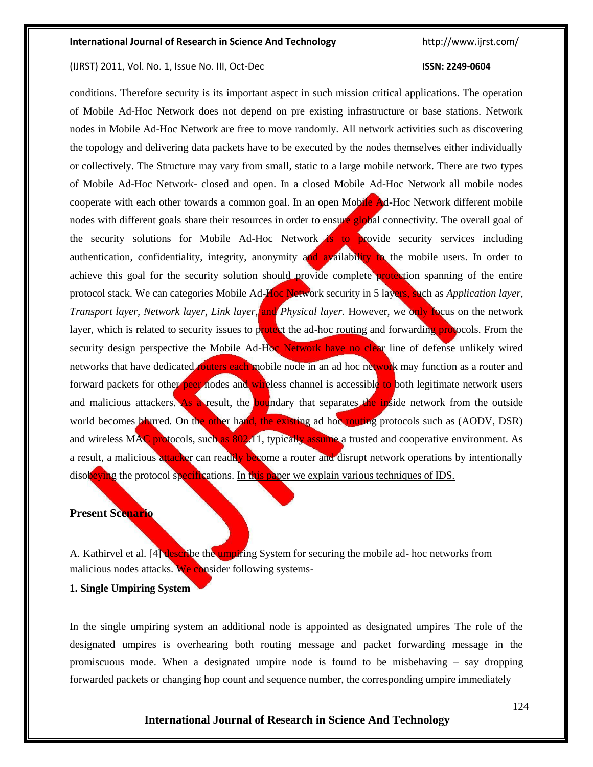#### (IJRST) 2011, Vol. No. 1, Issue No. III, Oct-Dec **ISSN: 2249-0604**

conditions. Therefore security is its important aspect in such mission critical applications. The operation of Mobile Ad-Hoc Network does not depend on pre existing infrastructure or base stations. Network nodes in Mobile Ad-Hoc Network are free to move randomly. All network activities such as discovering the topology and delivering data packets have to be executed by the nodes themselves either individually or collectively. The Structure may vary from small, static to a large mobile network. There are two types of Mobile Ad-Hoc Network- closed and open. In a closed Mobile Ad-Hoc Network all mobile nodes cooperate with each other towards a common goal. In an open Mobile Ad-Hoc Network different mobile nodes with different goals share their resources in order to ensure global connectivity. The overall goal of the security solutions for Mobile Ad-Hoc Network is to provide security services including authentication, confidentiality, integrity, anonymity and availability to the mobile users. In order to achieve this goal for the security solution should provide complete protection spanning of the entire protocol stack. We can categories Mobile Ad-Hoc Network security in 5 layers, such as *Application layer, Transport layer, Network layer, Link layer, and Physical layer.* However, we only focus on the network layer, which is related to security issues to protect the ad-hoc routing and forwarding protocols. From the security design perspective the Mobile Ad-Hoc Network have no clear line of defense unlikely wired networks that have dedicated **routers each** mobile node in an ad hoc network may function as a router and forward packets for other peer nodes and wireless channel is accessible to both legitimate network users and malicious attackers. As a result, the boundary that separates the inside network from the outside world becomes blurred. On the other hand, the existing ad hoc routing protocols such as (AODV, DSR) and wireless MAC protocols, such as 802.11, typically assume a trusted and cooperative environment. As a result, a malicious attacker can readily become a router and disrupt network operations by intentionally disobeying the protocol specifications. In this paper we explain various techniques of IDS.

# **Present Scenario**

A. Kathirvel et al. [4] describe the umpiring System for securing the mobile ad- hoc networks from malicious nodes attacks. We consider following systems-

#### **1. Single Umpiring System**

In the single umpiring system an additional node is appointed as designated umpires The role of the designated umpires is overhearing both routing message and packet forwarding message in the promiscuous mode. When a designated umpire node is found to be misbehaving – say dropping forwarded packets or changing hop count and sequence number, the corresponding umpire immediately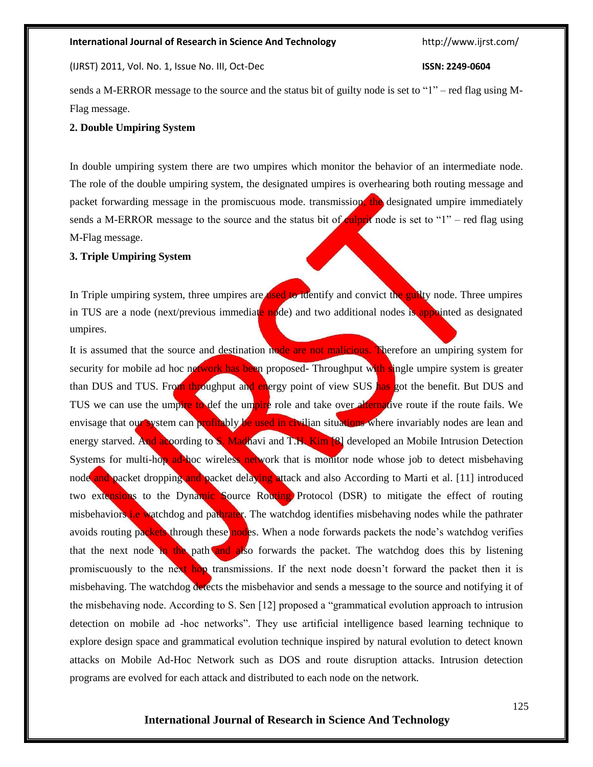(IJRST) 2011, Vol. No. 1, Issue No. III, Oct-Dec **ISSN: 2249-0604**

sends a M-ERROR message to the source and the status bit of guilty node is set to "1" – red flag using M-Flag message.

# **2. Double Umpiring System**

In double umpiring system there are two umpires which monitor the behavior of an intermediate node. The role of the double umpiring system, the designated umpires is overhearing both routing message and packet forwarding message in the promiscuous mode. transmission, the designated umpire immediately sends a M-ERROR message to the source and the status bit of culprit node is set to " $1"$  – red flag using M-Flag message.

# **3. Triple Umpiring System**

In Triple umpiring system, three umpires are **used to identify** and convict the guilty node. Three umpires in TUS are a node (next/previous immediate  $\frac{1}{2}$  node) and two additional nodes is appointed as designated umpires.

It is assumed that the source and destination node are not malicious. Therefore an umpiring system for security for mobile ad hoc network has been proposed- Throughput with single umpire system is greater than DUS and TUS. From throughput and energy point of view SUS has got the benefit. But DUS and TUS we can use the umpire to def the umpire role and take over alternative route if the route fails. We envisage that our system can profitably be used in civilian situations where invariably nodes are lean and energy starved. And acoording to S. Madhavi and T.H. Kim [8] developed an Mobile Intrusion Detection Systems for multi-hop ad-hoc wireless network that is monitor node whose job to detect misbehaving node and packet dropping and packet delaying attack and also According to Marti et al. [11] introduced two extensions to the Dynamic Source Routing Protocol (DSR) to mitigate the effect of routing misbehaviors i.e watchdog and pathrater. The watchdog identifies misbehaving nodes while the pathrater avoids routing packets through these nodes. When a node forwards packets the node's watchdog verifies that the next node in the path and also forwards the packet. The watchdog does this by listening promiscuously to the next hop transmissions. If the next node doesn't forward the packet then it is misbehaving. The watchdog detects the misbehavior and sends a message to the source and notifying it of the misbehaving node. According to S. Sen [12] proposed a "grammatical evolution approach to intrusion detection on mobile ad -hoc networks". They use artificial intelligence based learning technique to explore design space and grammatical evolution technique inspired by natural evolution to detect known attacks on Mobile Ad-Hoc Network such as DOS and route disruption attacks. Intrusion detection programs are evolved for each attack and distributed to each node on the network.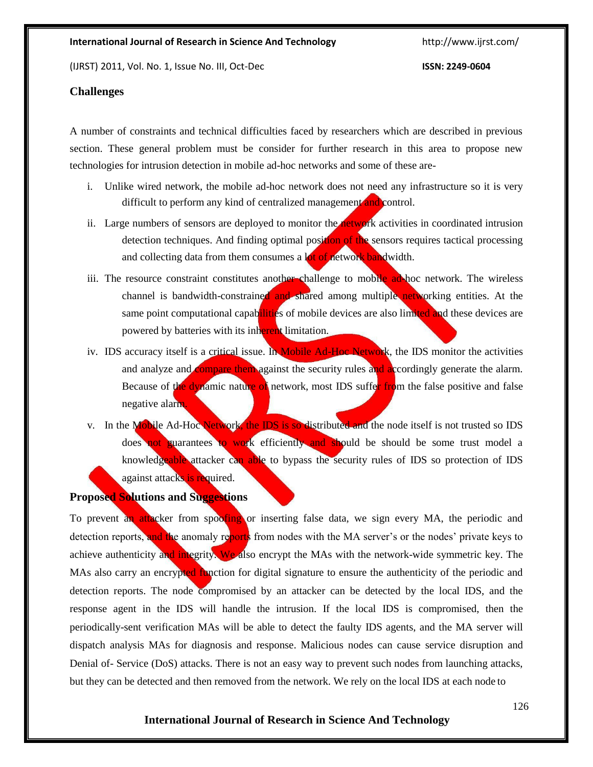(IJRST) 2011, Vol. No. 1, Issue No. III, Oct-Dec **ISSN: 2249-0604**

### **Challenges**

A number of constraints and technical difficulties faced by researchers which are described in previous section. These general problem must be consider for further research in this area to propose new technologies for intrusion detection in mobile ad-hoc networks and some of these are-

- i. Unlike wired network, the mobile ad-hoc network does not need any infrastructure so it is very difficult to perform any kind of centralized management and control.
- ii. Large numbers of sensors are deployed to monitor the network activities in coordinated intrusion detection techniques. And finding optimal position of the sensors requires tactical processing and collecting data from them consumes a lot of network bandwidth.
- iii. The resource constraint constitutes another challenge to mobile ad-hoc network. The wireless channel is bandwidth-constrained and shared among multiple networking entities. At the same point computational capabilities of mobile devices are also limited and these devices are powered by batteries with its inherent limitation.
- iv. IDS accuracy itself is a critical issue. In Mobile Ad-Hoc Network, the IDS monitor the activities and analyze and **compare them** against the security rules and accordingly generate the alarm. Because of the dynamic nature of network, most IDS suffer from the false positive and false negative alarm.
- v. In the Mobile Ad-Hoc Network, the IDS is so distributed and the node itself is not trusted so IDS does not guarantees to work efficiently and should be should be some trust model a knowledgeable attacker can able to bypass the security rules of IDS so protection of IDS against attacks is required.

# **Proposed Solutions and Suggestions**

To prevent an attacker from spoofing or inserting false data, we sign every MA, the periodic and detection reports, and the anomaly reports from nodes with the MA server's or the nodes' private keys to achieve authenticity and integrity. We also encrypt the MAs with the network-wide symmetric key. The MAs also carry an encrypted function for digital signature to ensure the authenticity of the periodic and detection reports. The node compromised by an attacker can be detected by the local IDS, and the response agent in the IDS will handle the intrusion. If the local IDS is compromised, then the periodically-sent verification MAs will be able to detect the faulty IDS agents, and the MA server will dispatch analysis MAs for diagnosis and response. Malicious nodes can cause service disruption and Denial of- Service (DoS) attacks. There is not an easy way to prevent such nodes from launching attacks, but they can be detected and then removed from the network. We rely on the local IDS at each node to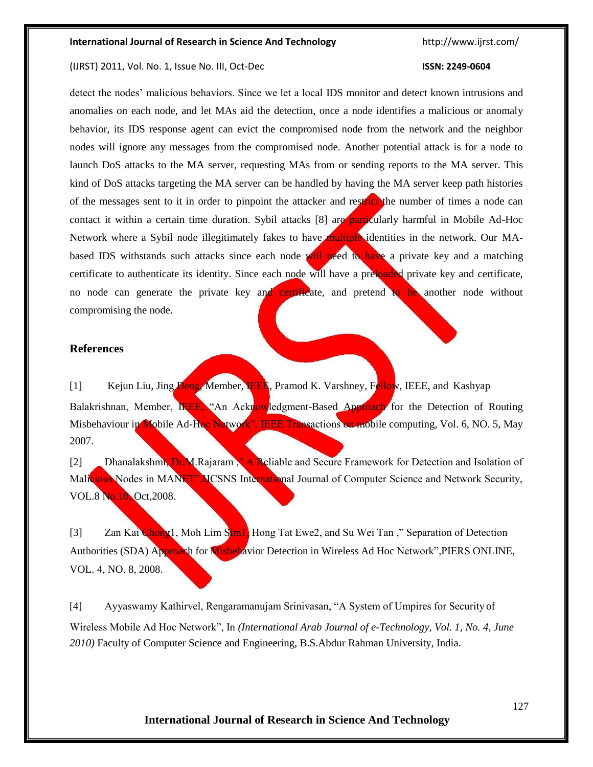#### (IJRST) 2011, Vol. No. 1, Issue No. III, Oct-Dec **ISSN: 2249-0604**

detect the nodes' malicious behaviors. Since we let a local IDS monitor and detect known intrusions and anomalies on each node, and let MAs aid the detection, once a node identifies a malicious or anomaly behavior, its IDS response agent can evict the compromised node from the network and the neighbor nodes will ignore any messages from the compromised node. Another potential attack is for a node to launch DoS attacks to the MA server, requesting MAs from or sending reports to the MA server. This kind of DoS attacks targeting the MA server can be handled by having the MA server keep path histories of the messages sent to it in order to pinpoint the attacker and restrict the number of times a node can contact it within a certain time duration. Sybil attacks [8] are particularly harmful in Mobile Ad-Hoc Network where a Sybil node illegitimately fakes to have multiple identities in the network. Our MAbased IDS withstands such attacks since each node will need to have a private key and a matching certificate to authenticate its identity. Since each node will have a preloaded private key and certificate, no node can generate the private key and certificate, and pretend to be another node without compromising the node.

### **References**

[1] Kejun Liu, Jing Deng, Member, IEEE, Pramod K. Varshney, Fellow, IEEE, and Kashyap Balakrishnan, Member, IEEE, "An Acknowledgment-Based Approach for the Detection of Routing Misbehaviour in Mobile Ad-Hoc Network", IEEE Transactions on mobile computing, Vol. 6, NO. 5, May 2007.

[2] Dhanalakshmi, Dr.M.Rajaram," A Reliable and Secure Framework for Detection and Isolation of Malicious Nodes in MANET", ICSNS International Journal of Computer Science and Network Security, VOL.8 No.10, Oct,2008.

[3] Zan Kai Chong1, Moh Lim Sim1, Hong Tat Ewe2, and Su Wei Tan," Separation of Detection Authorities (SDA) Approach for Misbehavior Detection in Wireless Ad Hoc Network", PIERS ONLINE, VOL. 4, NO. 8, 2008.

[4] Ayyaswamy Kathirvel, Rengaramanujam Srinivasan, "A System of Umpires for Security of Wireless Mobile Ad Hoc Network", In *(International Arab Journal of e-Technology, Vol. 1, No. 4, June 2010)* Faculty of Computer Science and Engineering, B.S.Abdur Rahman University, India.